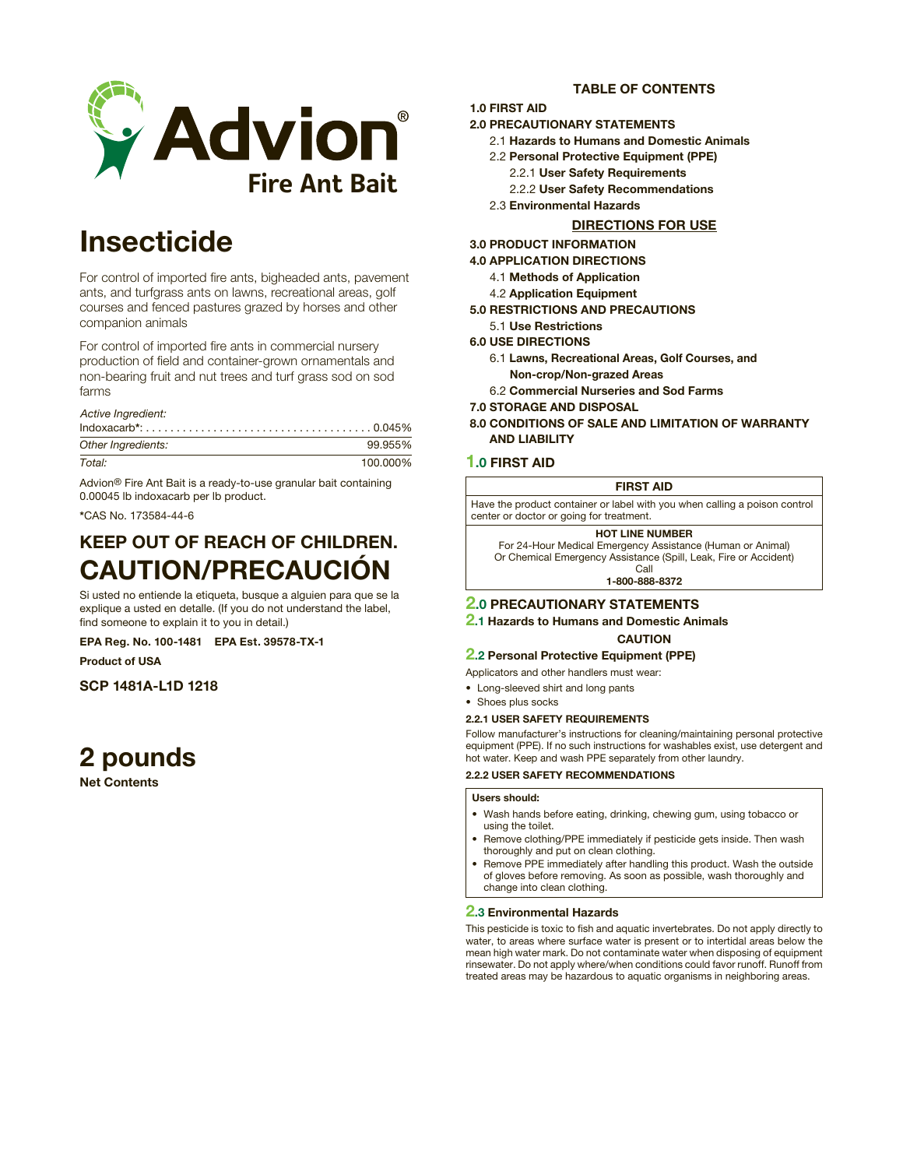

# Insecticide

For control of imported fire ants, bigheaded ants, pavement ants, and turfgrass ants on lawns, recreational areas, golf courses and fenced pastures grazed by horses and other companion animals

For control of imported fire ants in commercial nursery production of field and container-grown ornamentals and non-bearing fruit and nut trees and turf grass sod on sod farms

*Active Ingredient:*

| $Indoxacarb^*: \ldots, \ldots, \ldots, \ldots, \ldots, \ldots, \ldots, \ldots, \ldots, 0.045\%$ |          |
|-------------------------------------------------------------------------------------------------|----------|
| Other Ingredients:                                                                              | 99.955%  |
| Total:                                                                                          | 100.000% |

Advion® Fire Ant Bait is a ready-to-use granular bait containing 0.00045 lb indoxacarb per lb product.

\*CAS No. 173584-44-6

# KEEP OUT OF REACH OF CHILDREN. CAUTION/PRECAUCIÓN

Si usted no entiende la etiqueta, busque a alguien para que se la explique a usted en detalle. (If you do not understand the label, find someone to explain it to you in detail.)

EPA Reg. No. 100-1481 EPA Est. 39578-TX-1

Product of USA

SCP 1481A-L1D 1218

# 2 pounds

Net Contents

# TABLE OF CONTENTS

## 1.0 FIRST AID

# 2.0 PRECAUTIONARY STATEMENTS

- 2.1 Hazards to Humans and Domestic Animals
- 2.2 Personal Protective Equipment (PPE)
	- 2.2.1 User Safety Requirements
	- 2.2.2 User Safety Recommendations
- 2.3 Environmental Hazards

# DIRECTIONS FOR USE

## 3.0 PRODUCT INFORMATION

4.0 APPLICATION DIRECTIONS

- 4.1 Methods of Application
- 4.2 Application Equipment
- 5.0 RESTRICTIONS AND PRECAUTIONS
	- 5.1 Use Restrictions
- 6.0 USE DIRECTIONS
	- 6.1 Lawns, Recreational Areas, Golf Courses, and Non-crop/Non-grazed Areas
	- 6.2 Commercial Nurseries and Sod Farms
- 7.0 STORAGE AND DISPOSAL
- 8.0 CONDITIONS OF SALE AND LIMITATION OF WARRANTY AND LIABILITY

# 1.0 FIRST AID

## FIRST AID

Have the product container or label with you when calling a poison control center or doctor or going for treatment.

HOT LINE NUMBER

For 24-Hour Medical Emergency Assistance (Human or Animal) Or Chemical Emergency Assistance (Spill, Leak, Fire or Accident) Call

1-800-888-8372

# 2.0 PRECAUTIONARY STATEMENTS

2.1 Hazards to Humans and Domestic Animals **CAUTION** 

## 2.2 Personal Protective Equipment (PPE)

- Applicators and other handlers must wear:
- Long-sleeved shirt and long pants
- Shoes plus socks
- 2.2.1 USER SAFETY REQUIREMENTS

Follow manufacturer's instructions for cleaning/maintaining personal protective equipment (PPE). If no such instructions for washables exist, use detergent and hot water. Keep and wash PPE separately from other laundry.

## 2.2.2 USER SAFETY RECOMMENDATIONS

## Users should:

- Wash hands before eating, drinking, chewing gum, using tobacco or using the toilet.
- Remove clothing/PPE immediately if pesticide gets inside. Then wash thoroughly and put on clean clothing.
- Remove PPE immediately after handling this product. Wash the outside of gloves before removing. As soon as possible, wash thoroughly and change into clean clothing.

## 2.3 Environmental Hazards

This pesticide is toxic to fish and aquatic invertebrates. Do not apply directly to water, to areas where surface water is present or to intertidal areas below the mean high water mark. Do not contaminate water when disposing of equipment rinsewater. Do not apply where/when conditions could favor runoff. Runoff from treated areas may be hazardous to aquatic organisms in neighboring areas.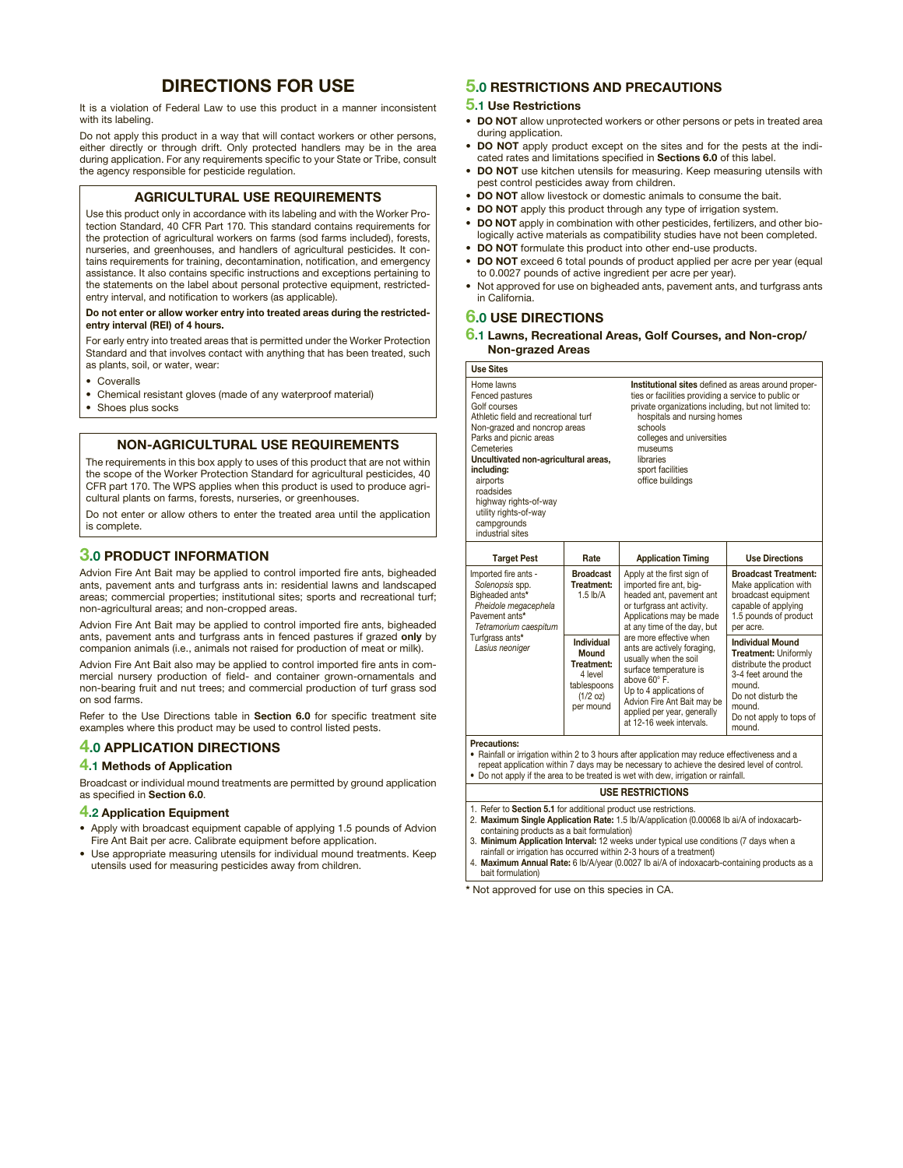# DIRECTIONS FOR USE

It is a violation of Federal Law to use this product in a manner inconsistent with its labeling.

Do not apply this product in a way that will contact workers or other persons, either directly or through drift. Only protected handlers may be in the area during application. For any requirements specific to your State or Tribe, consult the agency responsible for pesticide regulation.

# AGRICULTURAL USE REQUIREMENTS

Use this product only in accordance with its labeling and with the Worker Protection Standard, 40 CFR Part 170. This standard contains requirements for the protection of agricultural workers on farms (sod farms included), forests, nurseries, and greenhouses, and handlers of agricultural pesticides. It contains requirements for training, decontamination, notification, and emergency assistance. It also contains specific instructions and exceptions pertaining to the statements on the label about personal protective equipment, restrictedentry interval, and notification to workers (as applicable).

#### Do not enter or allow worker entry into treated areas during the restrictedentry interval (REI) of 4 hours.

For early entry into treated areas that is permitted under the Worker Protection Standard and that involves contact with anything that has been treated, such as plants, soil, or water, wear:

- **Coveralls**
- Chemical resistant gloves (made of any waterproof material)
- Shoes plus socks

# NON-AGRICULTURAL USE REQUIREMENTS

The requirements in this box apply to uses of this product that are not within the scope of the Worker Protection Standard for agricultural pesticides, 40 CFR part 170. The WPS applies when this product is used to produce agricultural plants on farms, forests, nurseries, or greenhouses.

Do not enter or allow others to enter the treated area until the application is complete.

# 3.0 PRODUCT INFORMATION

Advion Fire Ant Bait may be applied to control imported fire ants, bigheaded ants, pavement ants and turfgrass ants in: residential lawns and landscaped areas; commercial properties; institutional sites; sports and recreational turf; non-agricultural areas; and non-cropped areas.

Advion Fire Ant Bait may be applied to control imported fire ants, bigheaded ants, pavement ants and turfgrass ants in fenced pastures if grazed only by companion animals (i.e., animals not raised for production of meat or milk).

Advion Fire Ant Bait also may be applied to control imported fire ants in commercial nursery production of field- and container grown-ornamentals and non-bearing fruit and nut trees; and commercial production of turf grass sod on sod farms.

Refer to the Use Directions table in Section 6.0 for specific treatment site examples where this product may be used to control listed pests.

## 4.0 APPLICATION DIRECTIONS

## 4.1 Methods of Application

Broadcast or individual mound treatments are permitted by ground application as specified in Section 6.0.

## 4.2 Application Equipment

- • Apply with broadcast equipment capable of applying 1.5 pounds of Advion Fire Ant Bait per acre. Calibrate equipment before application.
- Use appropriate measuring utensils for individual mound treatments. Keep utensils used for measuring pesticides away from children.

# 5.0 RESTRICTIONS AND PRECAUTIONS

### 5.1 Use Restrictions

- DO NOT allow unprotected workers or other persons or pets in treated area during application.
- DO NOT apply product except on the sites and for the pests at the indicated rates and limitations specified in Sections 6.0 of this label.
- DO NOT use kitchen utensils for measuring. Keep measuring utensils with pest control pesticides away from children.
- DO NOT allow livestock or domestic animals to consume the bait.
- DO NOT apply this product through any type of irrigation system.
- **DO NOT** apply in combination with other pesticides, fertilizers, and other biologically active materials as compatibility studies have not been completed.
- **DO NOT** formulate this product into other end-use products.
- DO NOT exceed 6 total pounds of product applied per acre per year (equal to 0.0027 pounds of active ingredient per acre per year).
- Not approved for use on bigheaded ants, pavement ants, and turfgrass ants in California.

# **6.0 USE DIRECTIONS**

6.1 Lawns, Recreational Areas, Golf Courses, and Non-crop/ Non-grazed Areas

| <b>Use Sites</b>                                                                                                                                                                                                                                                                                                                  |                                                                                      |                                                                                                                                                                                                                                                                                                                                                                                                                              |                                                                                                                                                                                 |  |
|-----------------------------------------------------------------------------------------------------------------------------------------------------------------------------------------------------------------------------------------------------------------------------------------------------------------------------------|--------------------------------------------------------------------------------------|------------------------------------------------------------------------------------------------------------------------------------------------------------------------------------------------------------------------------------------------------------------------------------------------------------------------------------------------------------------------------------------------------------------------------|---------------------------------------------------------------------------------------------------------------------------------------------------------------------------------|--|
| Home lawns<br>Fenced pastures<br>Golf courses<br>Athletic field and recreational turf<br>Non-grazed and noncrop areas<br>Parks and picnic areas<br>Cemeteries<br>Uncultivated non-agricultural areas,<br>including:<br>airports<br>roadsides<br>highway rights-of-way<br>utility rights-of-way<br>campgrounds<br>industrial sites |                                                                                      | Institutional sites defined as areas around proper-<br>ties or facilities providing a service to public or<br>private organizations including, but not limited to:<br>hospitals and nursing homes<br>schools<br>colleges and universities<br>museums<br>libraries<br>sport facilities<br>office buildings                                                                                                                    |                                                                                                                                                                                 |  |
| <b>Target Pest</b>                                                                                                                                                                                                                                                                                                                | Rate                                                                                 | <b>Application Timing</b>                                                                                                                                                                                                                                                                                                                                                                                                    | <b>Use Directions</b>                                                                                                                                                           |  |
| Imported fire ants -<br>Solenopsis spp.<br>Bigheaded ants*<br>Pheidole megacephela<br>Pavement ants*<br>Tetramorium caespitum<br>Turfqrass ants*<br>Lasius neoniger                                                                                                                                                               | <b>Broadcast</b><br>Treatment:<br>$1.5$ lb/A                                         | Apply at the first sign of<br>imported fire ant, big-<br>headed ant, pavement ant<br>or turforass ant activity.<br>Applications may be made<br>at any time of the day, but<br>are more effective when<br>ants are actively foraging,<br>usually when the soil<br>surface temperature is<br>above 60° F.<br>Up to 4 applications of<br>Advion Fire Ant Bait may be<br>applied per year, generally<br>at 12-16 week intervals. | <b>Broadcast Treatment:</b><br>Make application with<br>broadcast equipment<br>capable of applying<br>1.5 pounds of product<br>per acre.                                        |  |
|                                                                                                                                                                                                                                                                                                                                   | Individual<br>Mound<br>Treatment:<br>4 level<br>tablespoons<br>(1/2 oz)<br>per mound |                                                                                                                                                                                                                                                                                                                                                                                                                              | <b>Individual Mound</b><br>Treatment: Uniformly<br>distribute the product<br>3-4 feet around the<br>mound.<br>Do not disturb the<br>mound.<br>Do not apply to tops of<br>mound. |  |
| <b>Precautions:</b><br>• Rainfall or irrigation within 2 to 3 hours after application may reduce effectiveness and a<br>repeat application within 7 days may be necessary to achieve the desired level of control.<br>• Do not apply if the area to be treated is wet with dew, irrigation or rainfall.                           |                                                                                      |                                                                                                                                                                                                                                                                                                                                                                                                                              |                                                                                                                                                                                 |  |

#### USE RESTRICTIONS

- 1. Refer to Section 5.1 for additional product use restrictions. 2. Maximum Single Application Rate: 1.5 lb/A/application (0.00068 lb ai/A of indoxacarb-
- containing products as a bait formulation)
- 3. Minimum Application Interval: 12 weeks under typical use conditions (7 days when a rainfall or irrigation has occurred within 2-3 hours of a treatment)
- 4. Maximum Annual Rate: 6 lb/A/year (0.0027 lb ai/A of indoxacarb-containing products as a bait formulation)

\* Not approved for use on this species in CA.